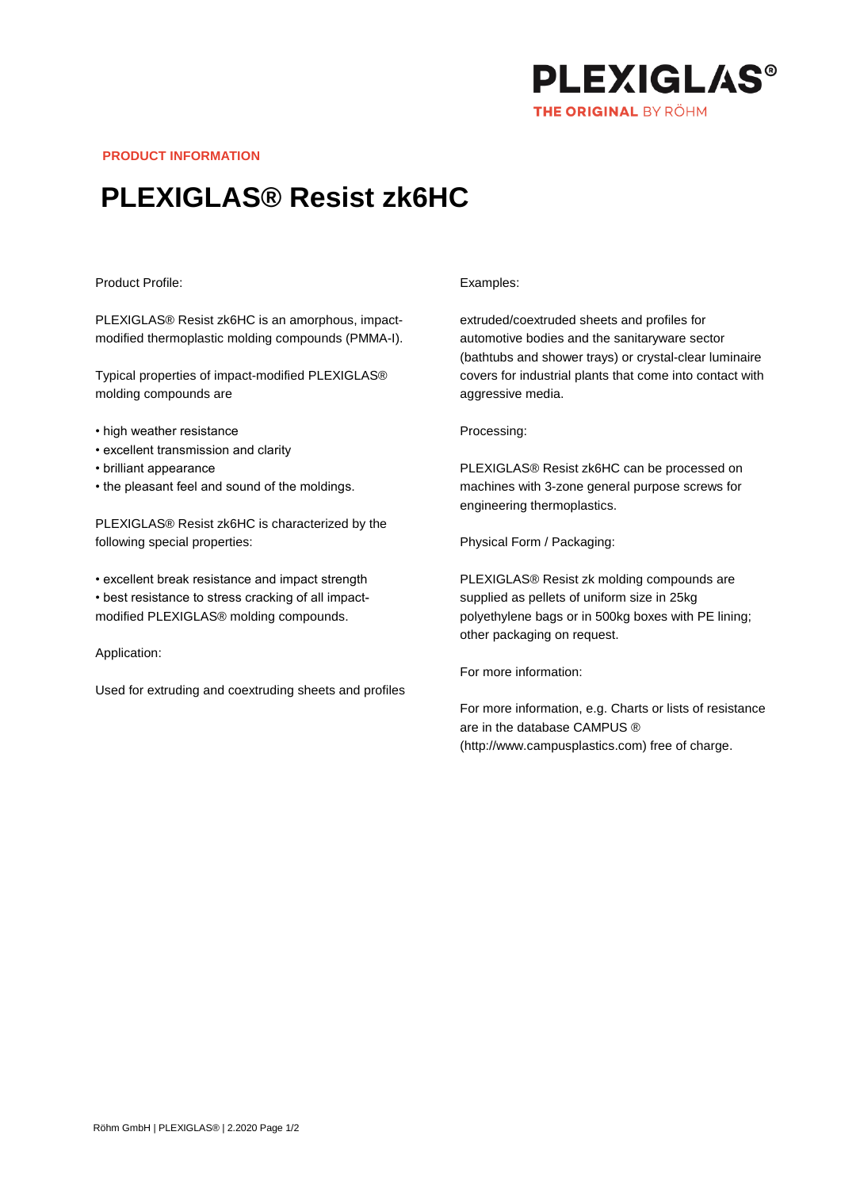

**PRODUCT INFORMATION**

# **PLEXIGLAS® Resist zk6HC**

## Product Profile:

PLEXIGLAS® Resist zk6HC is an amorphous, impactmodified thermoplastic molding compounds (PMMA-I).

Typical properties of impact-modified PLEXIGLAS® molding compounds are

- high weather resistance
- excellent transmission and clarity
- brilliant appearance
- the pleasant feel and sound of the moldings.

PLEXIGLAS® Resist zk6HC is characterized by the following special properties:

• excellent break resistance and impact strength • best resistance to stress cracking of all impactmodified PLEXIGLAS® molding compounds.

### Application:

Used for extruding and coextruding sheets and profiles

#### Examples:

extruded/coextruded sheets and profiles for automotive bodies and the sanitaryware sector (bathtubs and shower trays) or crystal-clear luminaire covers for industrial plants that come into contact with aggressive media.

#### Processing:

PLEXIGLAS® Resist zk6HC can be processed on machines with 3-zone general purpose screws for engineering thermoplastics.

Physical Form / Packaging:

PLEXIGLAS® Resist zk molding compounds are supplied as pellets of uniform size in 25kg polyethylene bags or in 500kg boxes with PE lining; other packaging on request.

For more information:

For more information, e.g. Charts or lists of resistance are in the database CAMPUS ® (http://www.campusplastics.com) free of charge.